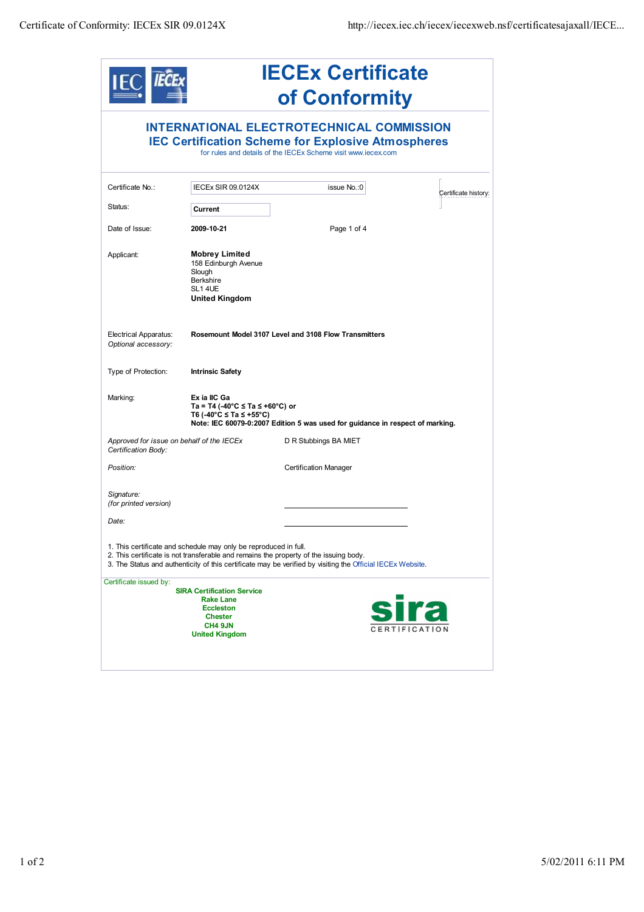

## **IECEx Certificate of Conformity**

|                                                                  |                                                                                                                                        | <b>INTERNATIONAL ELECTROTECHNICAL COMMISSION</b><br><b>IEC Certification Scheme for Explosive Atmospheres</b><br>for rules and details of the IECEx Scheme visit www.iecex.com                      |                      |
|------------------------------------------------------------------|----------------------------------------------------------------------------------------------------------------------------------------|-----------------------------------------------------------------------------------------------------------------------------------------------------------------------------------------------------|----------------------|
| Certificate No.:                                                 | IECEx SIR 09.0124X                                                                                                                     | issue No.: 0                                                                                                                                                                                        | Certificate history: |
| Status:                                                          | Current                                                                                                                                |                                                                                                                                                                                                     |                      |
| Date of Issue:                                                   | 2009-10-21                                                                                                                             | Page 1 of 4                                                                                                                                                                                         |                      |
| Applicant:                                                       | <b>Mobrey Limited</b><br>158 Edinburgh Avenue<br>Slough<br><b>Berkshire</b><br>SL1 4UE<br><b>United Kingdom</b>                        |                                                                                                                                                                                                     |                      |
| <b>Electrical Apparatus:</b><br>Optional accessory:              |                                                                                                                                        | Rosemount Model 3107 Level and 3108 Flow Transmitters                                                                                                                                               |                      |
| Type of Protection:                                              | <b>Intrinsic Safety</b>                                                                                                                |                                                                                                                                                                                                     |                      |
| Marking:                                                         | Ex ia IIC Ga<br>Ta = T4 (-40°C ≤ Ta ≤ +60°C) or<br>T6 (-40°C ≤ Ta ≤ +55°C)                                                             | Note: IEC 60079-0:2007 Edition 5 was used for guidance in respect of marking.                                                                                                                       |                      |
| Approved for issue on behalf of the IECEx<br>Certification Body: |                                                                                                                                        | D R Stubbings BA MIET                                                                                                                                                                               |                      |
| Position:                                                        |                                                                                                                                        | <b>Certification Manager</b>                                                                                                                                                                        |                      |
| Signature:<br>(for printed version)                              |                                                                                                                                        |                                                                                                                                                                                                     |                      |
| Date:                                                            |                                                                                                                                        |                                                                                                                                                                                                     |                      |
|                                                                  | 1. This certificate and schedule may only be reproduced in full.                                                                       | 2. This certificate is not transferable and remains the property of the issuing body.<br>3. The Status and authenticity of this certificate may be verified by visiting the Official IECEx Website. |                      |
| Certificate issued by:                                           | <b>SIRA Certification Service</b><br><b>Rake Lane</b><br><b>Eccleston</b><br><b>Chester</b><br><b>CH4 9JN</b><br><b>United Kingdom</b> |                                                                                                                                                                                                     | CERTIFICATIO         |